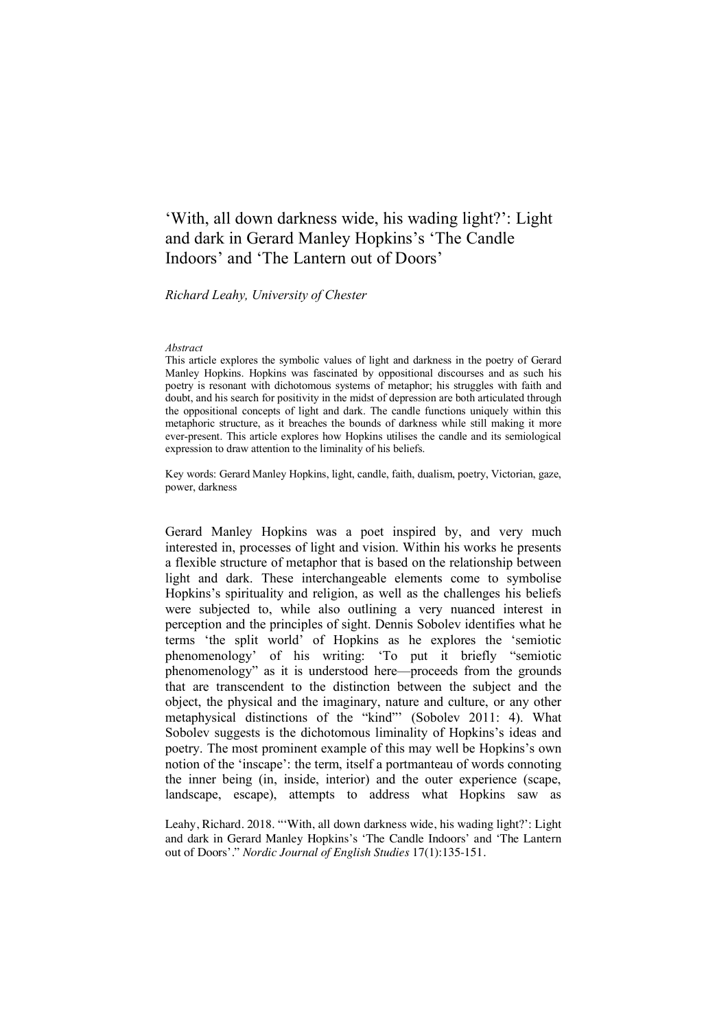# 'With, all down darkness wide, his wading light?': Light and dark in Gerard Manley Hopkins's 'The Candle Indoors' and 'The Lantern out of Doors'

#### *Richard Leahy, University of Chester*

#### *Abstract*

This article explores the symbolic values of light and darkness in the poetry of Gerard Manley Hopkins. Hopkins was fascinated by oppositional discourses and as such his poetry is resonant with dichotomous systems of metaphor; his struggles with faith and doubt, and his search for positivity in the midst of depression are both articulated through the oppositional concepts of light and dark. The candle functions uniquely within this metaphoric structure, as it breaches the bounds of darkness while still making it more ever-present. This article explores how Hopkins utilises the candle and its semiological expression to draw attention to the liminality of his beliefs.

Key words: Gerard Manley Hopkins, light, candle, faith, dualism, poetry, Victorian, gaze, power, darkness

Gerard Manley Hopkins was a poet inspired by, and very much interested in, processes of light and vision. Within his works he presents a flexible structure of metaphor that is based on the relationship between light and dark. These interchangeable elements come to symbolise Hopkins's spirituality and religion, as well as the challenges his beliefs were subjected to, while also outlining a very nuanced interest in perception and the principles of sight. Dennis Sobolev identifies what he terms 'the split world' of Hopkins as he explores the 'semiotic phenomenology' of his writing: 'To put it briefly "semiotic phenomenology" as it is understood here—proceeds from the grounds that are transcendent to the distinction between the subject and the object, the physical and the imaginary, nature and culture, or any other metaphysical distinctions of the "kind"' (Sobolev 2011: 4). What Sobolev suggests is the dichotomous liminality of Hopkins's ideas and poetry. The most prominent example of this may well be Hopkins's own notion of the 'inscape': the term, itself a portmanteau of words connoting the inner being (in, inside, interior) and the outer experience (scape, landscape, escape), attempts to address what Hopkins saw as

Leahy, Richard. 2018. "'With, all down darkness wide, his wading light?': Light and dark in Gerard Manley Hopkins's 'The Candle Indoors' and 'The Lantern out of Doors'." *Nordic Journal of English Studies* 17(1):135-151.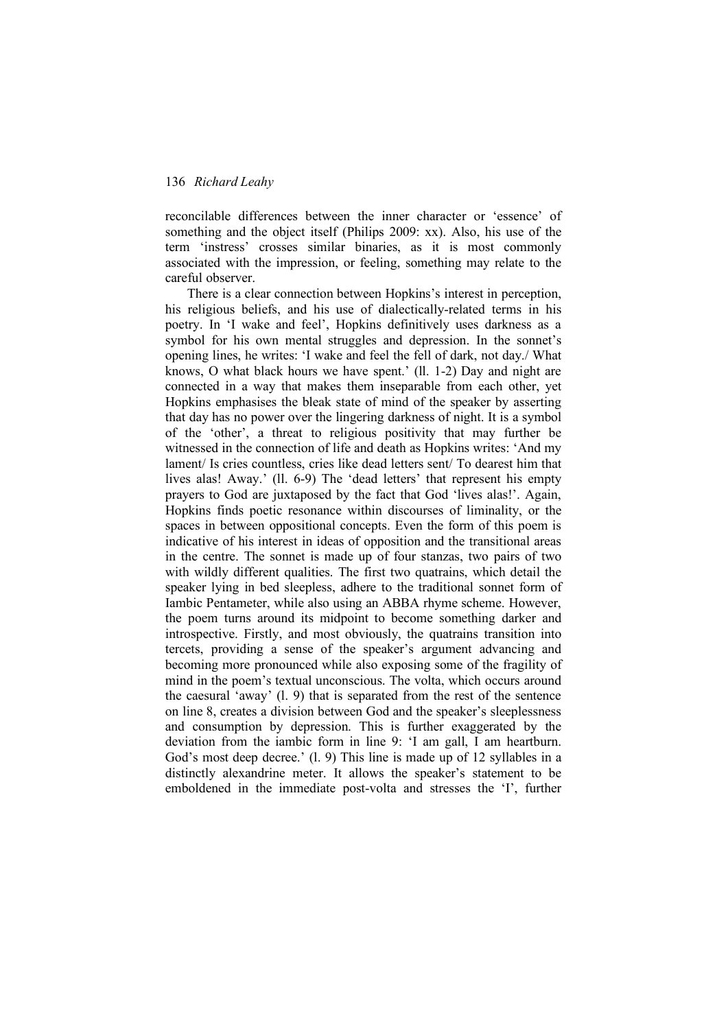reconcilable differences between the inner character or 'essence' of something and the object itself (Philips 2009: xx). Also, his use of the term 'instress' crosses similar binaries, as it is most commonly associated with the impression, or feeling, something may relate to the careful observer.

There is a clear connection between Hopkins's interest in perception, his religious beliefs, and his use of dialectically-related terms in his poetry. In 'I wake and feel', Hopkins definitively uses darkness as a symbol for his own mental struggles and depression. In the sonnet's opening lines, he writes: 'I wake and feel the fell of dark, not day./ What knows, O what black hours we have spent.' (ll. 1-2) Day and night are connected in a way that makes them inseparable from each other, yet Hopkins emphasises the bleak state of mind of the speaker by asserting that day has no power over the lingering darkness of night. It is a symbol of the 'other', a threat to religious positivity that may further be witnessed in the connection of life and death as Hopkins writes: 'And my lament/ Is cries countless, cries like dead letters sent/ To dearest him that lives alas! Away.' (ll. 6-9) The 'dead letters' that represent his empty prayers to God are juxtaposed by the fact that God 'lives alas!'. Again, Hopkins finds poetic resonance within discourses of liminality, or the spaces in between oppositional concepts. Even the form of this poem is indicative of his interest in ideas of opposition and the transitional areas in the centre. The sonnet is made up of four stanzas, two pairs of two with wildly different qualities. The first two quatrains, which detail the speaker lying in bed sleepless, adhere to the traditional sonnet form of Iambic Pentameter, while also using an ABBA rhyme scheme. However, the poem turns around its midpoint to become something darker and introspective. Firstly, and most obviously, the quatrains transition into tercets, providing a sense of the speaker's argument advancing and becoming more pronounced while also exposing some of the fragility of mind in the poem's textual unconscious. The volta, which occurs around the caesural 'away' (l. 9) that is separated from the rest of the sentence on line 8, creates a division between God and the speaker's sleeplessness and consumption by depression. This is further exaggerated by the deviation from the iambic form in line 9: 'I am gall, I am heartburn. God's most deep decree.' (1, 9) This line is made up of 12 syllables in a distinctly alexandrine meter. It allows the speaker's statement to be emboldened in the immediate post-volta and stresses the 'I', further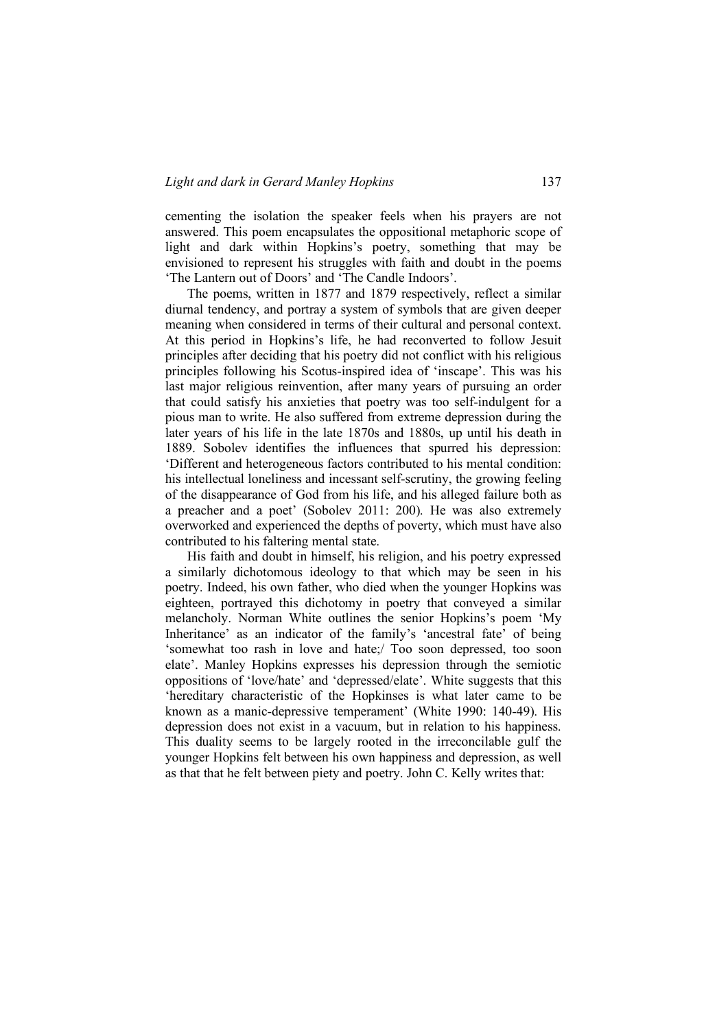cementing the isolation the speaker feels when his prayers are not answered. This poem encapsulates the oppositional metaphoric scope of light and dark within Hopkins's poetry, something that may be envisioned to represent his struggles with faith and doubt in the poems 'The Lantern out of Doors' and 'The Candle Indoors'.

The poems, written in 1877 and 1879 respectively, reflect a similar diurnal tendency, and portray a system of symbols that are given deeper meaning when considered in terms of their cultural and personal context. At this period in Hopkins's life, he had reconverted to follow Jesuit principles after deciding that his poetry did not conflict with his religious principles following his Scotus-inspired idea of 'inscape'. This was his last major religious reinvention, after many years of pursuing an order that could satisfy his anxieties that poetry was too self-indulgent for a pious man to write. He also suffered from extreme depression during the later years of his life in the late 1870s and 1880s, up until his death in 1889. Sobolev identifies the influences that spurred his depression: 'Different and heterogeneous factors contributed to his mental condition: his intellectual loneliness and incessant self-scrutiny, the growing feeling of the disappearance of God from his life, and his alleged failure both as a preacher and a poet' (Sobolev 2011: 200). He was also extremely overworked and experienced the depths of poverty, which must have also contributed to his faltering mental state.

His faith and doubt in himself, his religion, and his poetry expressed a similarly dichotomous ideology to that which may be seen in his poetry. Indeed, his own father, who died when the younger Hopkins was eighteen, portrayed this dichotomy in poetry that conveyed a similar melancholy. Norman White outlines the senior Hopkins's poem 'My Inheritance' as an indicator of the family's 'ancestral fate' of being 'somewhat too rash in love and hate;/ Too soon depressed, too soon elate'. Manley Hopkins expresses his depression through the semiotic oppositions of 'love/hate' and 'depressed/elate'. White suggests that this 'hereditary characteristic of the Hopkinses is what later came to be known as a manic-depressive temperament' (White 1990: 140-49). His depression does not exist in a vacuum, but in relation to his happiness. This duality seems to be largely rooted in the irreconcilable gulf the younger Hopkins felt between his own happiness and depression, as well as that that he felt between piety and poetry. John C. Kelly writes that: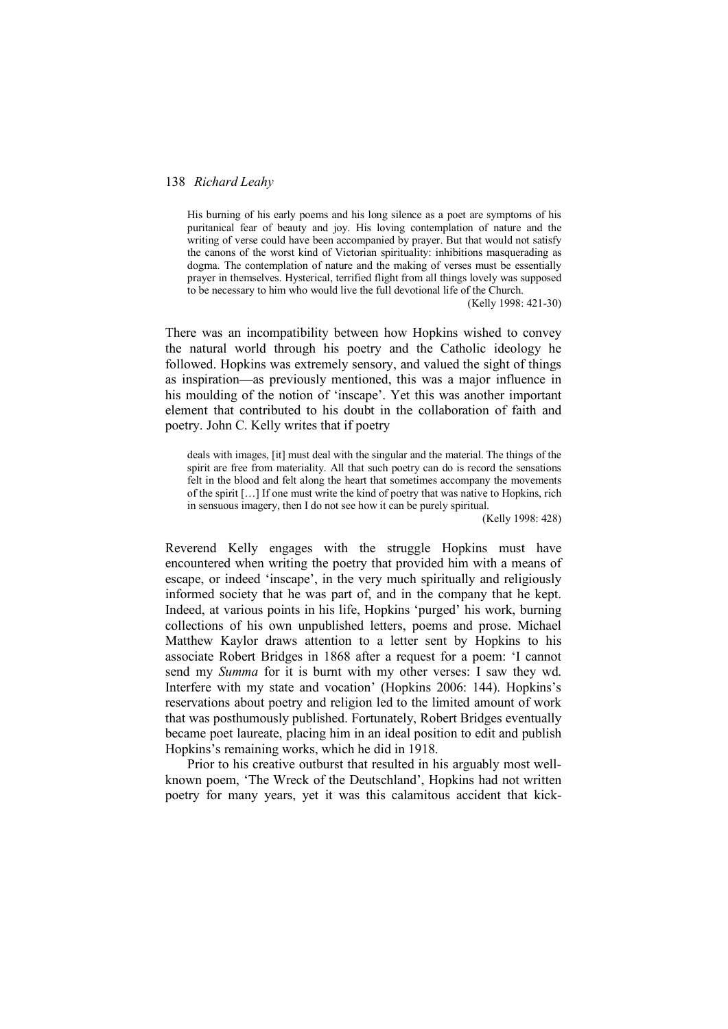His burning of his early poems and his long silence as a poet are symptoms of his puritanical fear of beauty and joy. His loving contemplation of nature and the writing of verse could have been accompanied by prayer. But that would not satisfy the canons of the worst kind of Victorian spirituality: inhibitions masquerading as dogma. The contemplation of nature and the making of verses must be essentially prayer in themselves. Hysterical, terrified flight from all things lovely was supposed to be necessary to him who would live the full devotional life of the Church.

(Kelly 1998: 421-30)

There was an incompatibility between how Hopkins wished to convey the natural world through his poetry and the Catholic ideology he followed. Hopkins was extremely sensory, and valued the sight of things as inspiration—as previously mentioned, this was a major influence in his moulding of the notion of 'inscape'. Yet this was another important element that contributed to his doubt in the collaboration of faith and poetry. John C. Kelly writes that if poetry

deals with images, [it] must deal with the singular and the material. The things of the spirit are free from materiality. All that such poetry can do is record the sensations felt in the blood and felt along the heart that sometimes accompany the movements of the spirit […] If one must write the kind of poetry that was native to Hopkins, rich in sensuous imagery, then I do not see how it can be purely spiritual.

(Kelly 1998: 428)

Reverend Kelly engages with the struggle Hopkins must have encountered when writing the poetry that provided him with a means of escape, or indeed 'inscape', in the very much spiritually and religiously informed society that he was part of, and in the company that he kept. Indeed, at various points in his life, Hopkins 'purged' his work, burning collections of his own unpublished letters, poems and prose. Michael Matthew Kaylor draws attention to a letter sent by Hopkins to his associate Robert Bridges in 1868 after a request for a poem: 'I cannot send my *Summa* for it is burnt with my other verses: I saw they wd. Interfere with my state and vocation' (Hopkins 2006: 144). Hopkins's reservations about poetry and religion led to the limited amount of work that was posthumously published. Fortunately, Robert Bridges eventually became poet laureate, placing him in an ideal position to edit and publish Hopkins's remaining works, which he did in 1918.

Prior to his creative outburst that resulted in his arguably most wellknown poem, 'The Wreck of the Deutschland', Hopkins had not written poetry for many years, yet it was this calamitous accident that kick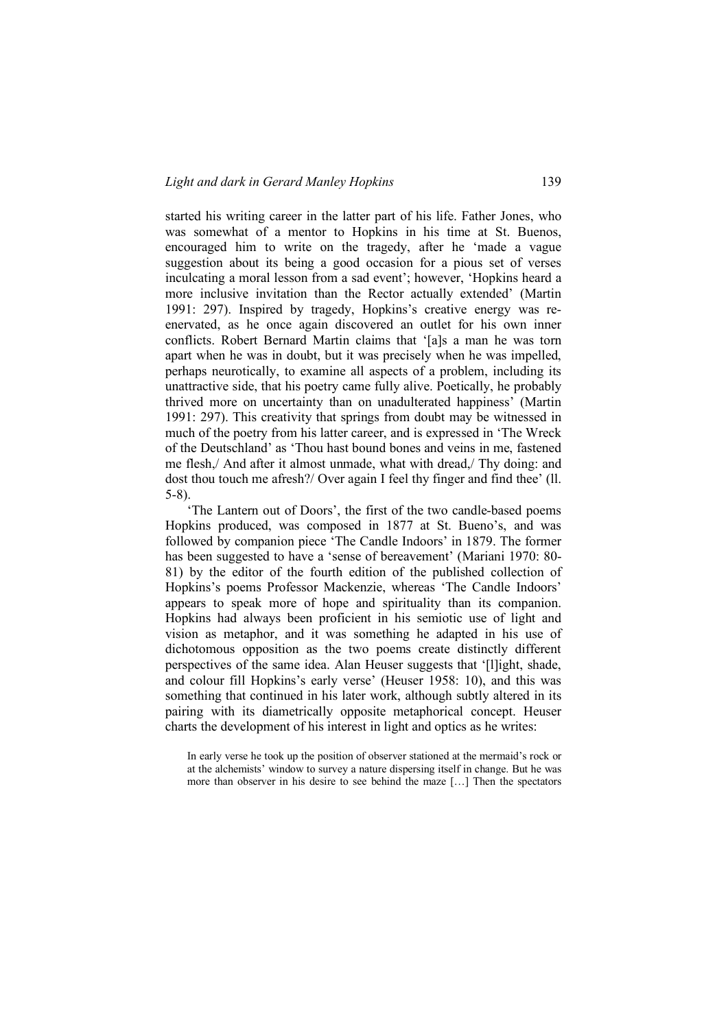started his writing career in the latter part of his life. Father Jones, who was somewhat of a mentor to Hopkins in his time at St. Buenos, encouraged him to write on the tragedy, after he 'made a vague suggestion about its being a good occasion for a pious set of verses inculcating a moral lesson from a sad event'; however, 'Hopkins heard a more inclusive invitation than the Rector actually extended' (Martin 1991: 297). Inspired by tragedy, Hopkins's creative energy was reenervated, as he once again discovered an outlet for his own inner conflicts. Robert Bernard Martin claims that '[a]s a man he was torn apart when he was in doubt, but it was precisely when he was impelled, perhaps neurotically, to examine all aspects of a problem, including its unattractive side, that his poetry came fully alive. Poetically, he probably thrived more on uncertainty than on unadulterated happiness' (Martin 1991: 297). This creativity that springs from doubt may be witnessed in much of the poetry from his latter career, and is expressed in 'The Wreck of the Deutschland' as 'Thou hast bound bones and veins in me, fastened me flesh,/ And after it almost unmade, what with dread,/ Thy doing: and dost thou touch me afresh?/ Over again I feel thy finger and find thee' (ll. 5-8).

'The Lantern out of Doors', the first of the two candle-based poems Hopkins produced, was composed in 1877 at St. Bueno's, and was followed by companion piece 'The Candle Indoors' in 1879. The former has been suggested to have a 'sense of bereavement' (Mariani 1970: 80- 81) by the editor of the fourth edition of the published collection of Hopkins's poems Professor Mackenzie, whereas 'The Candle Indoors' appears to speak more of hope and spirituality than its companion. Hopkins had always been proficient in his semiotic use of light and vision as metaphor, and it was something he adapted in his use of dichotomous opposition as the two poems create distinctly different perspectives of the same idea. Alan Heuser suggests that '[l]ight, shade, and colour fill Hopkins's early verse' (Heuser 1958: 10), and this was something that continued in his later work, although subtly altered in its pairing with its diametrically opposite metaphorical concept. Heuser charts the development of his interest in light and optics as he writes:

In early verse he took up the position of observer stationed at the mermaid's rock or at the alchemists' window to survey a nature dispersing itself in change. But he was more than observer in his desire to see behind the maze […] Then the spectators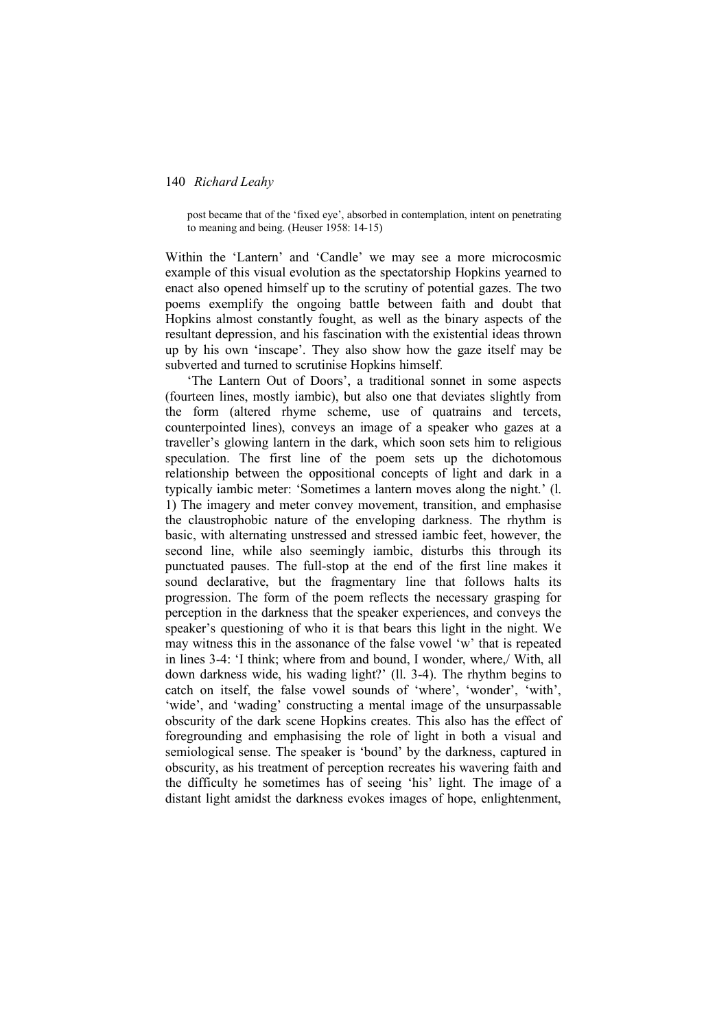post became that of the 'fixed eye', absorbed in contemplation, intent on penetrating to meaning and being. (Heuser 1958: 14-15)

Within the 'Lantern' and 'Candle' we may see a more microcosmic example of this visual evolution as the spectatorship Hopkins yearned to enact also opened himself up to the scrutiny of potential gazes. The two poems exemplify the ongoing battle between faith and doubt that Hopkins almost constantly fought, as well as the binary aspects of the resultant depression, and his fascination with the existential ideas thrown up by his own 'inscape'. They also show how the gaze itself may be subverted and turned to scrutinise Hopkins himself.

'The Lantern Out of Doors', a traditional sonnet in some aspects (fourteen lines, mostly iambic), but also one that deviates slightly from the form (altered rhyme scheme, use of quatrains and tercets, counterpointed lines), conveys an image of a speaker who gazes at a traveller's glowing lantern in the dark, which soon sets him to religious speculation. The first line of the poem sets up the dichotomous relationship between the oppositional concepts of light and dark in a typically iambic meter: 'Sometimes a lantern moves along the night.' (l. 1) The imagery and meter convey movement, transition, and emphasise the claustrophobic nature of the enveloping darkness. The rhythm is basic, with alternating unstressed and stressed iambic feet, however, the second line, while also seemingly iambic, disturbs this through its punctuated pauses. The full-stop at the end of the first line makes it sound declarative, but the fragmentary line that follows halts its progression. The form of the poem reflects the necessary grasping for perception in the darkness that the speaker experiences, and conveys the speaker's questioning of who it is that bears this light in the night. We may witness this in the assonance of the false vowel 'w' that is repeated in lines 3-4: 'I think; where from and bound, I wonder, where,/ With, all down darkness wide, his wading light?' (ll. 3-4). The rhythm begins to catch on itself, the false vowel sounds of 'where', 'wonder', 'with', 'wide', and 'wading' constructing a mental image of the unsurpassable obscurity of the dark scene Hopkins creates. This also has the effect of foregrounding and emphasising the role of light in both a visual and semiological sense. The speaker is 'bound' by the darkness, captured in obscurity, as his treatment of perception recreates his wavering faith and the difficulty he sometimes has of seeing 'his' light. The image of a distant light amidst the darkness evokes images of hope, enlightenment,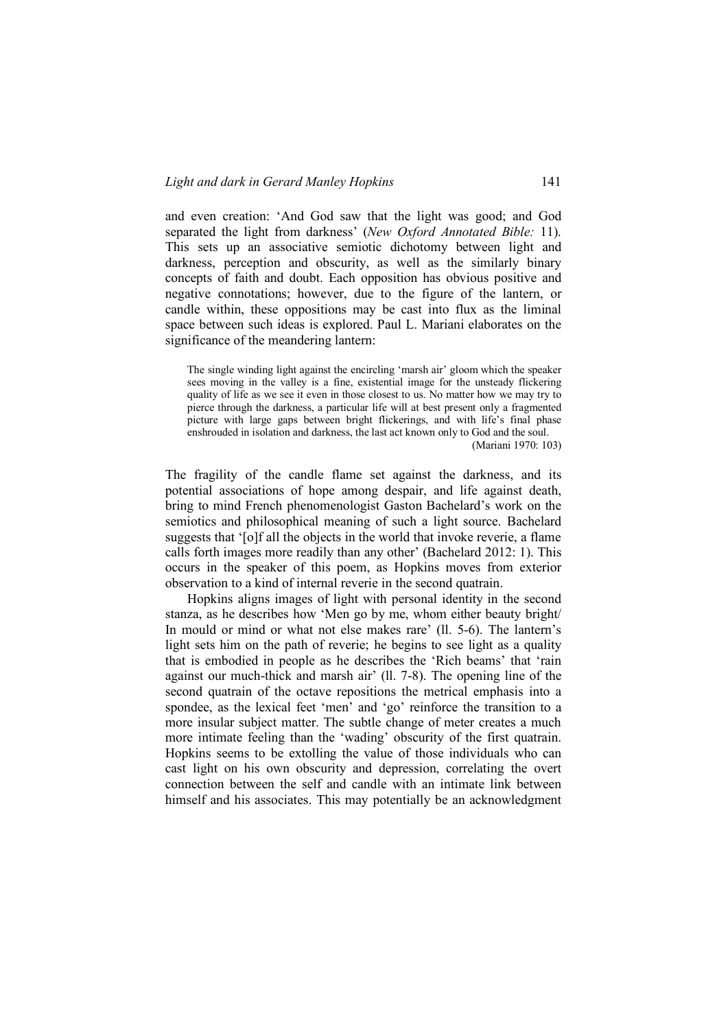and even creation: 'And God saw that the light was good; and God separated the light from darkness' (*New Oxford Annotated Bible:* 11). This sets up an associative semiotic dichotomy between light and darkness, perception and obscurity, as well as the similarly binary concepts of faith and doubt. Each opposition has obvious positive and negative connotations; however, due to the figure of the lantern, or candle within, these oppositions may be cast into flux as the liminal space between such ideas is explored. Paul L. Mariani elaborates on the significance of the meandering lantern:

The single winding light against the encircling 'marsh air' gloom which the speaker sees moving in the valley is a fine, existential image for the unsteady flickering quality of life as we see it even in those closest to us. No matter how we may try to pierce through the darkness, a particular life will at best present only a fragmented picture with large gaps between bright flickerings, and with life's final phase enshrouded in isolation and darkness, the last act known only to God and the soul. (Mariani 1970: 103)

The fragility of the candle flame set against the darkness, and its potential associations of hope among despair, and life against death, bring to mind French phenomenologist Gaston Bachelard's work on the semiotics and philosophical meaning of such a light source. Bachelard suggests that '[o]f all the objects in the world that invoke reverie, a flame calls forth images more readily than any other' (Bachelard 2012: 1). This occurs in the speaker of this poem, as Hopkins moves from exterior observation to a kind of internal reverie in the second quatrain.

Hopkins aligns images of light with personal identity in the second stanza, as he describes how 'Men go by me, whom either beauty bright/ In mould or mind or what not else makes rare' (ll. 5-6). The lantern's light sets him on the path of reverie; he begins to see light as a quality that is embodied in people as he describes the 'Rich beams' that 'rain against our much-thick and marsh air' (ll. 7-8). The opening line of the second quatrain of the octave repositions the metrical emphasis into a spondee, as the lexical feet 'men' and 'go' reinforce the transition to a more insular subject matter. The subtle change of meter creates a much more intimate feeling than the 'wading' obscurity of the first quatrain. Hopkins seems to be extolling the value of those individuals who can cast light on his own obscurity and depression, correlating the overt connection between the self and candle with an intimate link between himself and his associates. This may potentially be an acknowledgment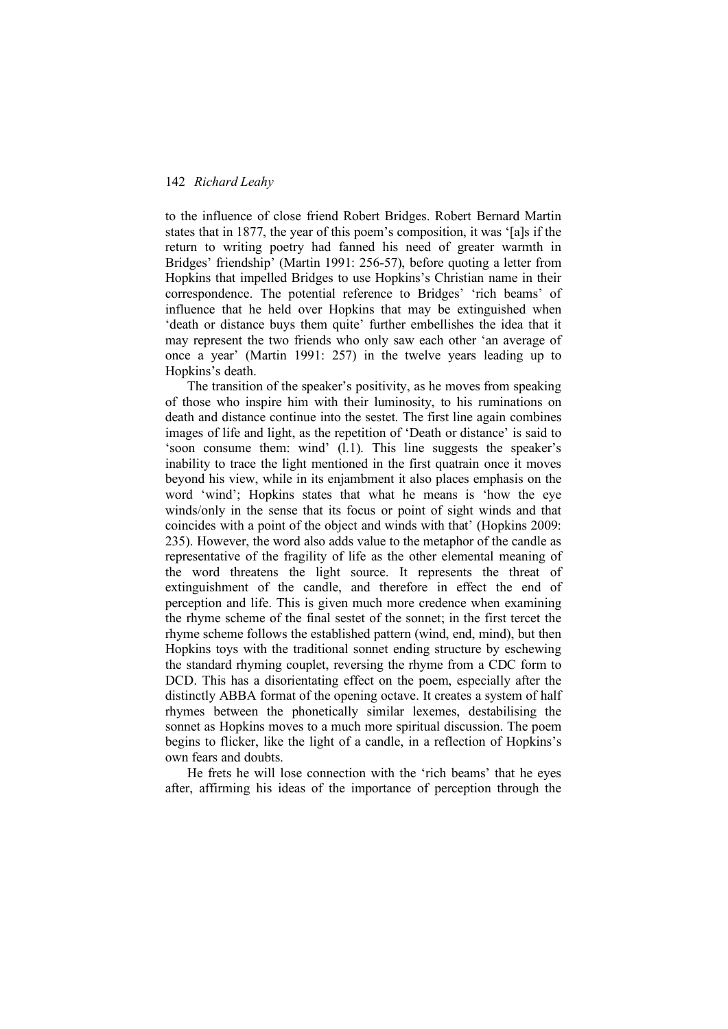to the influence of close friend Robert Bridges. Robert Bernard Martin states that in 1877, the year of this poem's composition, it was '[a]s if the return to writing poetry had fanned his need of greater warmth in Bridges' friendship' (Martin 1991: 256-57), before quoting a letter from Hopkins that impelled Bridges to use Hopkins's Christian name in their correspondence. The potential reference to Bridges' 'rich beams' of influence that he held over Hopkins that may be extinguished when 'death or distance buys them quite' further embellishes the idea that it may represent the two friends who only saw each other 'an average of once a year' (Martin 1991: 257) in the twelve years leading up to Hopkins's death.

The transition of the speaker's positivity, as he moves from speaking of those who inspire him with their luminosity, to his ruminations on death and distance continue into the sestet. The first line again combines images of life and light, as the repetition of 'Death or distance' is said to 'soon consume them: wind' (l.1). This line suggests the speaker's inability to trace the light mentioned in the first quatrain once it moves beyond his view, while in its enjambment it also places emphasis on the word 'wind'; Hopkins states that what he means is 'how the eye winds/only in the sense that its focus or point of sight winds and that coincides with a point of the object and winds with that' (Hopkins 2009: 235). However, the word also adds value to the metaphor of the candle as representative of the fragility of life as the other elemental meaning of the word threatens the light source. It represents the threat of extinguishment of the candle, and therefore in effect the end of perception and life. This is given much more credence when examining the rhyme scheme of the final sestet of the sonnet; in the first tercet the rhyme scheme follows the established pattern (wind, end, mind), but then Hopkins toys with the traditional sonnet ending structure by eschewing the standard rhyming couplet, reversing the rhyme from a CDC form to DCD. This has a disorientating effect on the poem, especially after the distinctly ABBA format of the opening octave. It creates a system of half rhymes between the phonetically similar lexemes, destabilising the sonnet as Hopkins moves to a much more spiritual discussion. The poem begins to flicker, like the light of a candle, in a reflection of Hopkins's own fears and doubts.

He frets he will lose connection with the 'rich beams' that he eyes after, affirming his ideas of the importance of perception through the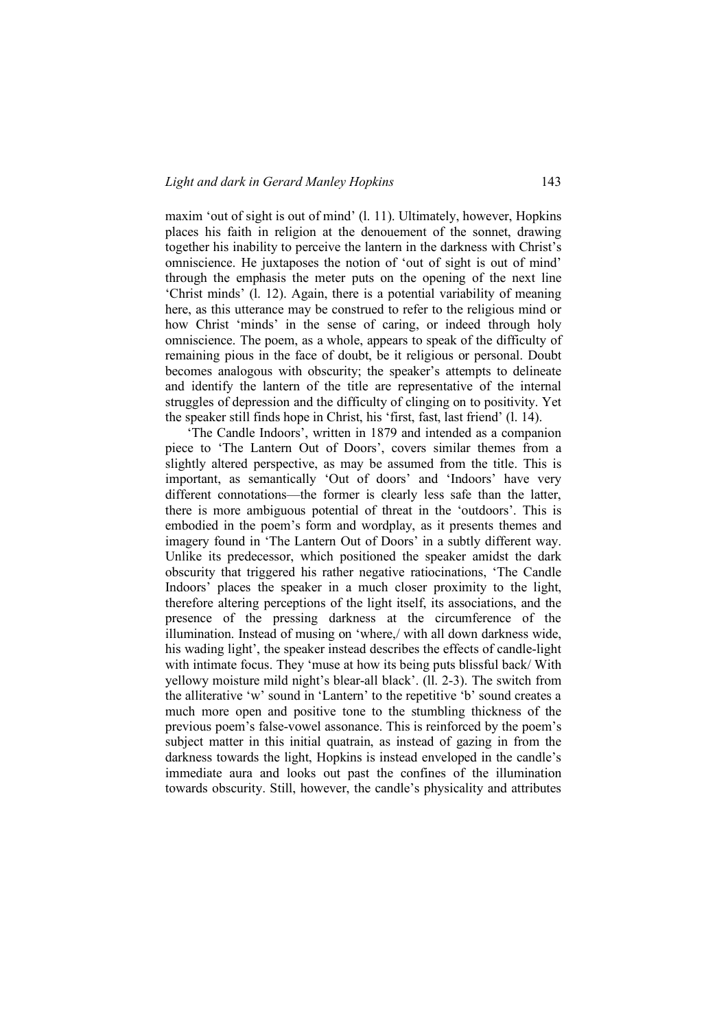maxim 'out of sight is out of mind' (l. 11). Ultimately, however, Hopkins places his faith in religion at the denouement of the sonnet, drawing together his inability to perceive the lantern in the darkness with Christ's omniscience. He juxtaposes the notion of 'out of sight is out of mind' through the emphasis the meter puts on the opening of the next line 'Christ minds' (l. 12). Again, there is a potential variability of meaning here, as this utterance may be construed to refer to the religious mind or how Christ 'minds' in the sense of caring, or indeed through holy omniscience. The poem, as a whole, appears to speak of the difficulty of remaining pious in the face of doubt, be it religious or personal. Doubt becomes analogous with obscurity; the speaker's attempts to delineate and identify the lantern of the title are representative of the internal struggles of depression and the difficulty of clinging on to positivity. Yet the speaker still finds hope in Christ, his 'first, fast, last friend' (l. 14).

'The Candle Indoors', written in 1879 and intended as a companion piece to 'The Lantern Out of Doors', covers similar themes from a slightly altered perspective, as may be assumed from the title. This is important, as semantically 'Out of doors' and 'Indoors' have very different connotations—the former is clearly less safe than the latter, there is more ambiguous potential of threat in the 'outdoors'. This is embodied in the poem's form and wordplay, as it presents themes and imagery found in 'The Lantern Out of Doors' in a subtly different way. Unlike its predecessor, which positioned the speaker amidst the dark obscurity that triggered his rather negative ratiocinations, 'The Candle Indoors' places the speaker in a much closer proximity to the light, therefore altering perceptions of the light itself, its associations, and the presence of the pressing darkness at the circumference of the illumination. Instead of musing on 'where,/ with all down darkness wide, his wading light', the speaker instead describes the effects of candle-light with intimate focus. They 'muse at how its being puts blissful back/ With yellowy moisture mild night's blear-all black'. (ll. 2-3). The switch from the alliterative 'w' sound in 'Lantern' to the repetitive 'b' sound creates a much more open and positive tone to the stumbling thickness of the previous poem's false-vowel assonance. This is reinforced by the poem's subject matter in this initial quatrain, as instead of gazing in from the darkness towards the light, Hopkins is instead enveloped in the candle's immediate aura and looks out past the confines of the illumination towards obscurity. Still, however, the candle's physicality and attributes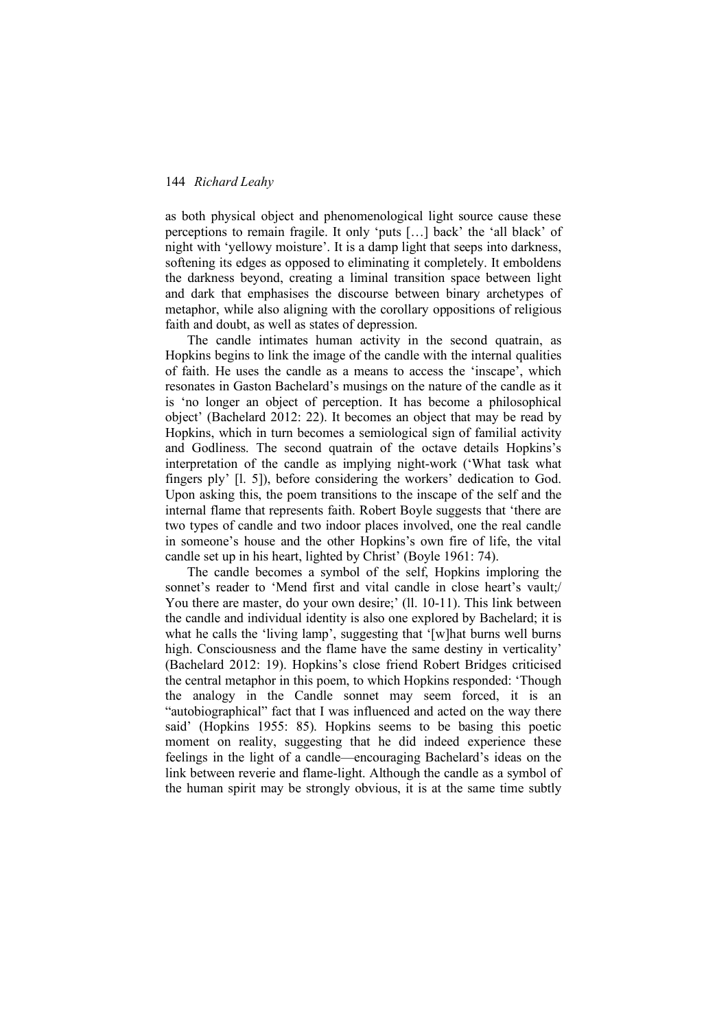as both physical object and phenomenological light source cause these perceptions to remain fragile. It only 'puts […] back' the 'all black' of night with 'yellowy moisture'. It is a damp light that seeps into darkness, softening its edges as opposed to eliminating it completely. It emboldens the darkness beyond, creating a liminal transition space between light and dark that emphasises the discourse between binary archetypes of metaphor, while also aligning with the corollary oppositions of religious faith and doubt, as well as states of depression.

The candle intimates human activity in the second quatrain, as Hopkins begins to link the image of the candle with the internal qualities of faith. He uses the candle as a means to access the 'inscape', which resonates in Gaston Bachelard's musings on the nature of the candle as it is 'no longer an object of perception. It has become a philosophical object' (Bachelard 2012: 22). It becomes an object that may be read by Hopkins, which in turn becomes a semiological sign of familial activity and Godliness. The second quatrain of the octave details Hopkins's interpretation of the candle as implying night-work ('What task what fingers ply' [l. 5]), before considering the workers' dedication to God. Upon asking this, the poem transitions to the inscape of the self and the internal flame that represents faith. Robert Boyle suggests that 'there are two types of candle and two indoor places involved, one the real candle in someone's house and the other Hopkins's own fire of life, the vital candle set up in his heart, lighted by Christ' (Boyle 1961: 74).

The candle becomes a symbol of the self, Hopkins imploring the sonnet's reader to 'Mend first and vital candle in close heart's vault;/ You there are master, do your own desire;' (ll. 10-11). This link between the candle and individual identity is also one explored by Bachelard; it is what he calls the 'living lamp', suggesting that '[w]hat burns well burns high. Consciousness and the flame have the same destiny in verticality' (Bachelard 2012: 19). Hopkins's close friend Robert Bridges criticised the central metaphor in this poem, to which Hopkins responded: 'Though the analogy in the Candle sonnet may seem forced, it is an "autobiographical" fact that I was influenced and acted on the way there said' (Hopkins 1955: 85). Hopkins seems to be basing this poetic moment on reality, suggesting that he did indeed experience these feelings in the light of a candle—encouraging Bachelard's ideas on the link between reverie and flame-light. Although the candle as a symbol of the human spirit may be strongly obvious, it is at the same time subtly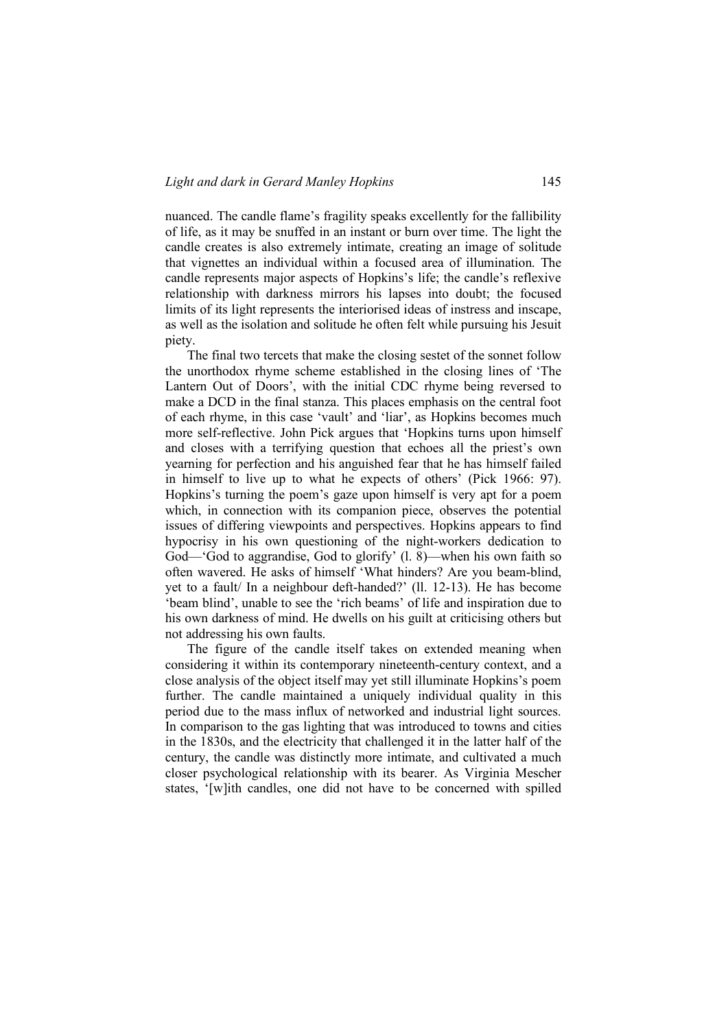nuanced. The candle flame's fragility speaks excellently for the fallibility of life, as it may be snuffed in an instant or burn over time. The light the candle creates is also extremely intimate, creating an image of solitude that vignettes an individual within a focused area of illumination. The candle represents major aspects of Hopkins's life; the candle's reflexive relationship with darkness mirrors his lapses into doubt; the focused limits of its light represents the interiorised ideas of instress and inscape, as well as the isolation and solitude he often felt while pursuing his Jesuit piety.

The final two tercets that make the closing sestet of the sonnet follow the unorthodox rhyme scheme established in the closing lines of 'The Lantern Out of Doors', with the initial CDC rhyme being reversed to make a DCD in the final stanza. This places emphasis on the central foot of each rhyme, in this case 'vault' and 'liar', as Hopkins becomes much more self-reflective. John Pick argues that 'Hopkins turns upon himself and closes with a terrifying question that echoes all the priest's own yearning for perfection and his anguished fear that he has himself failed in himself to live up to what he expects of others' (Pick 1966: 97). Hopkins's turning the poem's gaze upon himself is very apt for a poem which, in connection with its companion piece, observes the potential issues of differing viewpoints and perspectives. Hopkins appears to find hypocrisy in his own questioning of the night-workers dedication to God—'God to aggrandise, God to glorify' (l. 8)—when his own faith so often wavered. He asks of himself 'What hinders? Are you beam-blind, yet to a fault/ In a neighbour deft-handed?' (ll. 12-13). He has become 'beam blind', unable to see the 'rich beams' of life and inspiration due to his own darkness of mind. He dwells on his guilt at criticising others but not addressing his own faults.

The figure of the candle itself takes on extended meaning when considering it within its contemporary nineteenth-century context, and a close analysis of the object itself may yet still illuminate Hopkins's poem further. The candle maintained a uniquely individual quality in this period due to the mass influx of networked and industrial light sources. In comparison to the gas lighting that was introduced to towns and cities in the 1830s, and the electricity that challenged it in the latter half of the century, the candle was distinctly more intimate, and cultivated a much closer psychological relationship with its bearer. As Virginia Mescher states, '[w]ith candles, one did not have to be concerned with spilled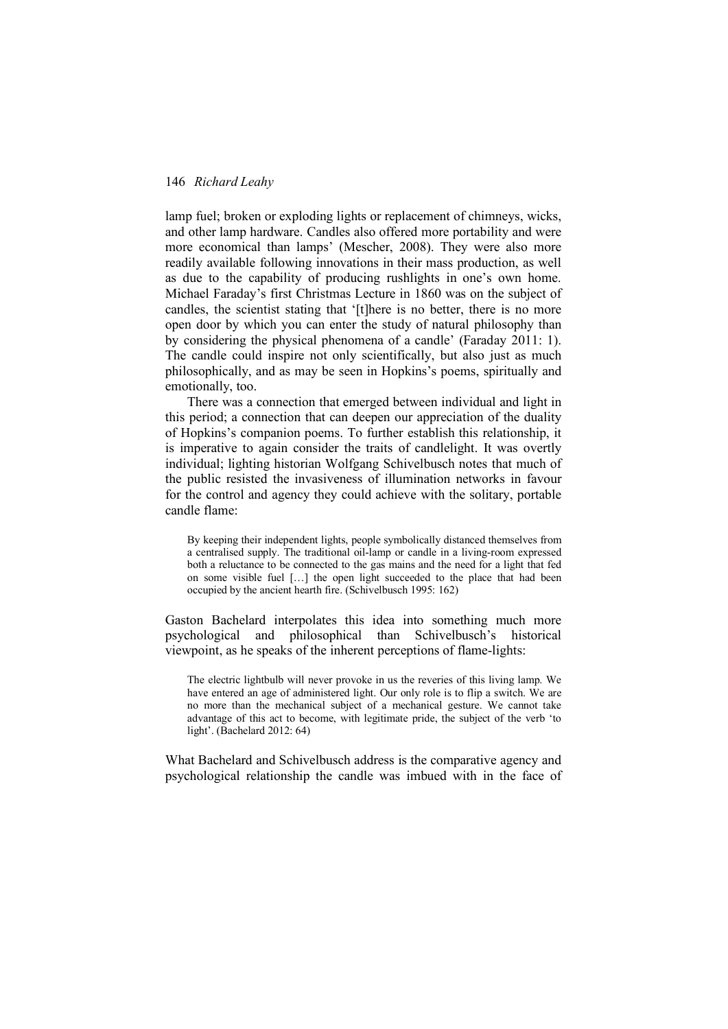lamp fuel; broken or exploding lights or replacement of chimneys, wicks, and other lamp hardware. Candles also offered more portability and were more economical than lamps' (Mescher, 2008). They were also more readily available following innovations in their mass production, as well as due to the capability of producing rushlights in one's own home. Michael Faraday's first Christmas Lecture in 1860 was on the subject of candles, the scientist stating that '[t]here is no better, there is no more open door by which you can enter the study of natural philosophy than by considering the physical phenomena of a candle' (Faraday 2011: 1). The candle could inspire not only scientifically, but also just as much philosophically, and as may be seen in Hopkins's poems, spiritually and emotionally, too.

There was a connection that emerged between individual and light in this period; a connection that can deepen our appreciation of the duality of Hopkins's companion poems. To further establish this relationship, it is imperative to again consider the traits of candlelight. It was overtly individual; lighting historian Wolfgang Schivelbusch notes that much of the public resisted the invasiveness of illumination networks in favour for the control and agency they could achieve with the solitary, portable candle flame:

By keeping their independent lights, people symbolically distanced themselves from a centralised supply. The traditional oil-lamp or candle in a living-room expressed both a reluctance to be connected to the gas mains and the need for a light that fed on some visible fuel […] the open light succeeded to the place that had been occupied by the ancient hearth fire. (Schivelbusch 1995: 162)

Gaston Bachelard interpolates this idea into something much more psychological and philosophical than Schivelbusch's historical viewpoint, as he speaks of the inherent perceptions of flame-lights:

The electric lightbulb will never provoke in us the reveries of this living lamp. We have entered an age of administered light. Our only role is to flip a switch. We are no more than the mechanical subject of a mechanical gesture. We cannot take advantage of this act to become, with legitimate pride, the subject of the verb 'to light'. (Bachelard 2012: 64)

What Bachelard and Schivelbusch address is the comparative agency and psychological relationship the candle was imbued with in the face of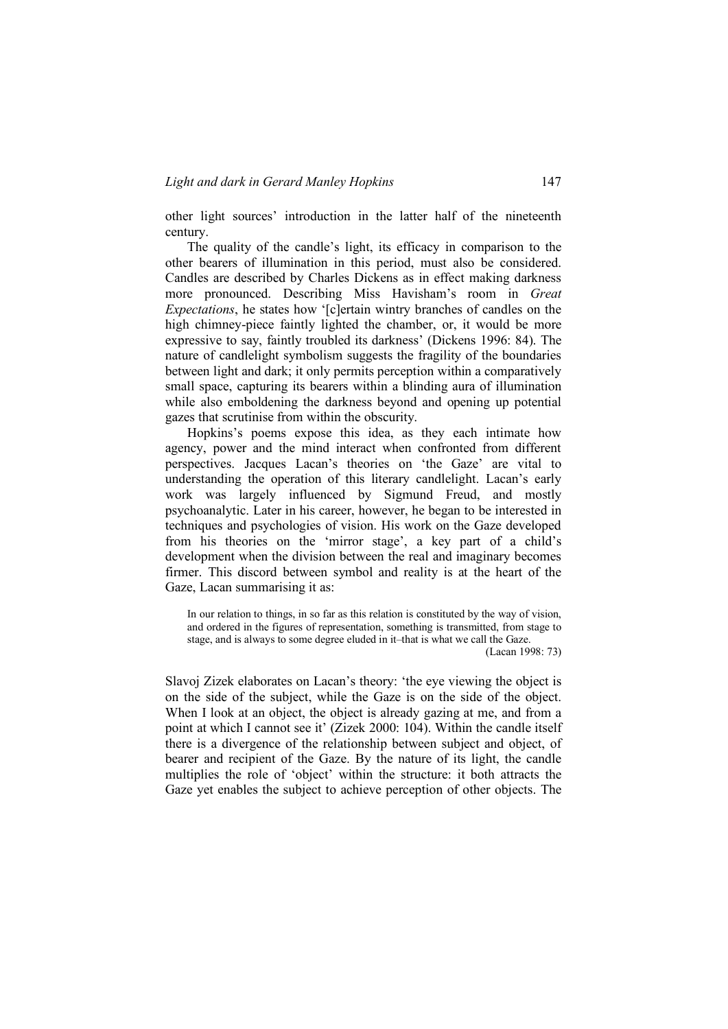other light sources' introduction in the latter half of the nineteenth century.

The quality of the candle's light, its efficacy in comparison to the other bearers of illumination in this period, must also be considered. Candles are described by Charles Dickens as in effect making darkness more pronounced. Describing Miss Havisham's room in *Great Expectations*, he states how '[c]ertain wintry branches of candles on the high chimney-piece faintly lighted the chamber, or, it would be more expressive to say, faintly troubled its darkness' (Dickens 1996: 84). The nature of candlelight symbolism suggests the fragility of the boundaries between light and dark; it only permits perception within a comparatively small space, capturing its bearers within a blinding aura of illumination while also emboldening the darkness beyond and opening up potential gazes that scrutinise from within the obscurity.

Hopkins's poems expose this idea, as they each intimate how agency, power and the mind interact when confronted from different perspectives. Jacques Lacan's theories on 'the Gaze' are vital to understanding the operation of this literary candlelight. Lacan's early work was largely influenced by Sigmund Freud, and mostly psychoanalytic. Later in his career, however, he began to be interested in techniques and psychologies of vision. His work on the Gaze developed from his theories on the 'mirror stage', a key part of a child's development when the division between the real and imaginary becomes firmer. This discord between symbol and reality is at the heart of the Gaze, Lacan summarising it as:

In our relation to things, in so far as this relation is constituted by the way of vision, and ordered in the figures of representation, something is transmitted, from stage to stage, and is always to some degree eluded in it–that is what we call the Gaze.

(Lacan 1998: 73)

Slavoj Zizek elaborates on Lacan's theory: 'the eye viewing the object is on the side of the subject, while the Gaze is on the side of the object. When I look at an object, the object is already gazing at me, and from a point at which I cannot see it' (Zizek 2000: 104). Within the candle itself there is a divergence of the relationship between subject and object, of bearer and recipient of the Gaze. By the nature of its light, the candle multiplies the role of 'object' within the structure: it both attracts the Gaze yet enables the subject to achieve perception of other objects. The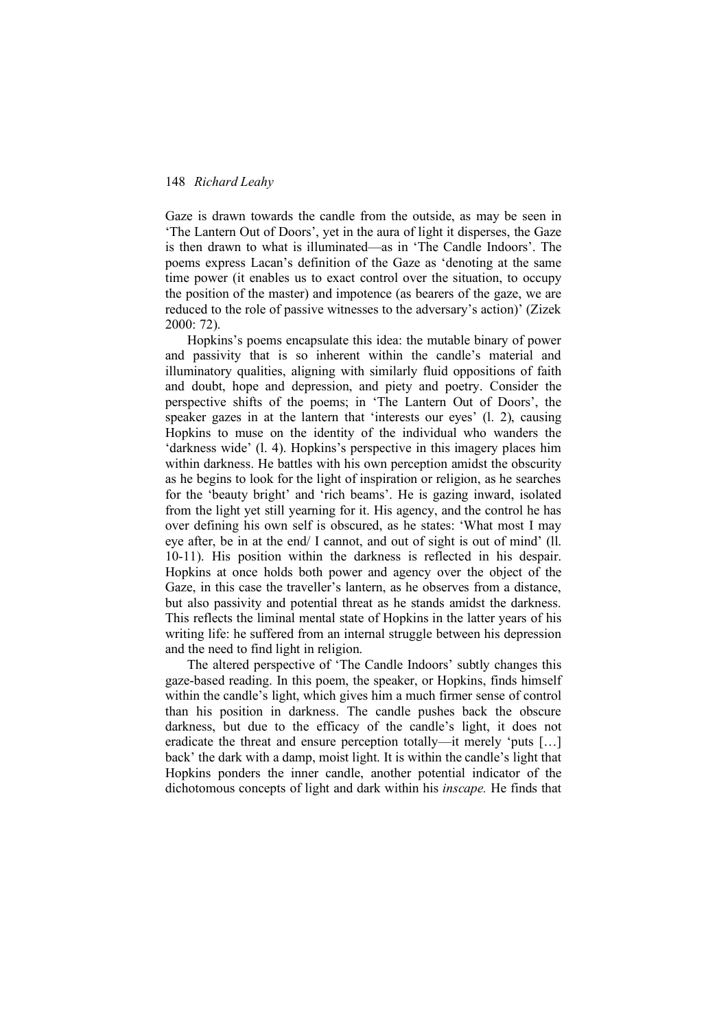Gaze is drawn towards the candle from the outside, as may be seen in 'The Lantern Out of Doors', yet in the aura of light it disperses, the Gaze is then drawn to what is illuminated—as in 'The Candle Indoors'. The poems express Lacan's definition of the Gaze as 'denoting at the same time power (it enables us to exact control over the situation, to occupy the position of the master) and impotence (as bearers of the gaze, we are reduced to the role of passive witnesses to the adversary's action)' (Zizek 2000: 72).

Hopkins's poems encapsulate this idea: the mutable binary of power and passivity that is so inherent within the candle's material and illuminatory qualities, aligning with similarly fluid oppositions of faith and doubt, hope and depression, and piety and poetry. Consider the perspective shifts of the poems; in 'The Lantern Out of Doors', the speaker gazes in at the lantern that 'interests our eyes' (l. 2), causing Hopkins to muse on the identity of the individual who wanders the 'darkness wide' (l. 4). Hopkins's perspective in this imagery places him within darkness. He battles with his own perception amidst the obscurity as he begins to look for the light of inspiration or religion, as he searches for the 'beauty bright' and 'rich beams'. He is gazing inward, isolated from the light yet still yearning for it. His agency, and the control he has over defining his own self is obscured, as he states: 'What most I may eye after, be in at the end/ I cannot, and out of sight is out of mind' (ll. 10-11). His position within the darkness is reflected in his despair. Hopkins at once holds both power and agency over the object of the Gaze, in this case the traveller's lantern, as he observes from a distance, but also passivity and potential threat as he stands amidst the darkness. This reflects the liminal mental state of Hopkins in the latter years of his writing life: he suffered from an internal struggle between his depression and the need to find light in religion.

The altered perspective of 'The Candle Indoors' subtly changes this gaze-based reading. In this poem, the speaker, or Hopkins, finds himself within the candle's light, which gives him a much firmer sense of control than his position in darkness. The candle pushes back the obscure darkness, but due to the efficacy of the candle's light, it does not eradicate the threat and ensure perception totally—it merely 'puts […] back' the dark with a damp, moist light. It is within the candle's light that Hopkins ponders the inner candle, another potential indicator of the dichotomous concepts of light and dark within his *inscape.* He finds that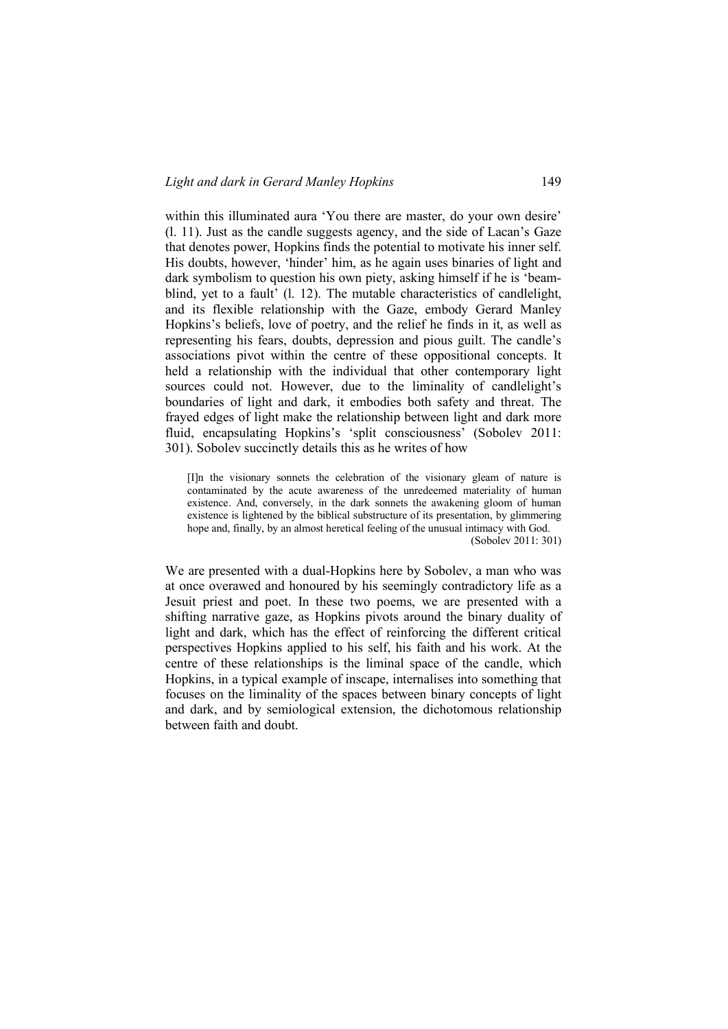within this illuminated aura 'You there are master, do your own desire' (l. 11). Just as the candle suggests agency, and the side of Lacan's Gaze that denotes power, Hopkins finds the potential to motivate his inner self. His doubts, however, 'hinder' him, as he again uses binaries of light and dark symbolism to question his own piety, asking himself if he is 'beamblind, yet to a fault' (l. 12). The mutable characteristics of candlelight, and its flexible relationship with the Gaze, embody Gerard Manley Hopkins's beliefs, love of poetry, and the relief he finds in it, as well as representing his fears, doubts, depression and pious guilt. The candle's associations pivot within the centre of these oppositional concepts. It held a relationship with the individual that other contemporary light sources could not. However, due to the liminality of candlelight's boundaries of light and dark, it embodies both safety and threat. The frayed edges of light make the relationship between light and dark more fluid, encapsulating Hopkins's 'split consciousness' (Sobolev 2011: 301). Sobolev succinctly details this as he writes of how

[I]n the visionary sonnets the celebration of the visionary gleam of nature is contaminated by the acute awareness of the unredeemed materiality of human existence. And, conversely, in the dark sonnets the awakening gloom of human existence is lightened by the biblical substructure of its presentation, by glimmering hope and, finally, by an almost heretical feeling of the unusual intimacy with God. (Sobolev 2011: 301)

We are presented with a dual-Hopkins here by Sobolev, a man who was at once overawed and honoured by his seemingly contradictory life as a Jesuit priest and poet. In these two poems, we are presented with a shifting narrative gaze, as Hopkins pivots around the binary duality of light and dark, which has the effect of reinforcing the different critical perspectives Hopkins applied to his self, his faith and his work. At the centre of these relationships is the liminal space of the candle, which Hopkins, in a typical example of inscape, internalises into something that focuses on the liminality of the spaces between binary concepts of light and dark, and by semiological extension, the dichotomous relationship between faith and doubt.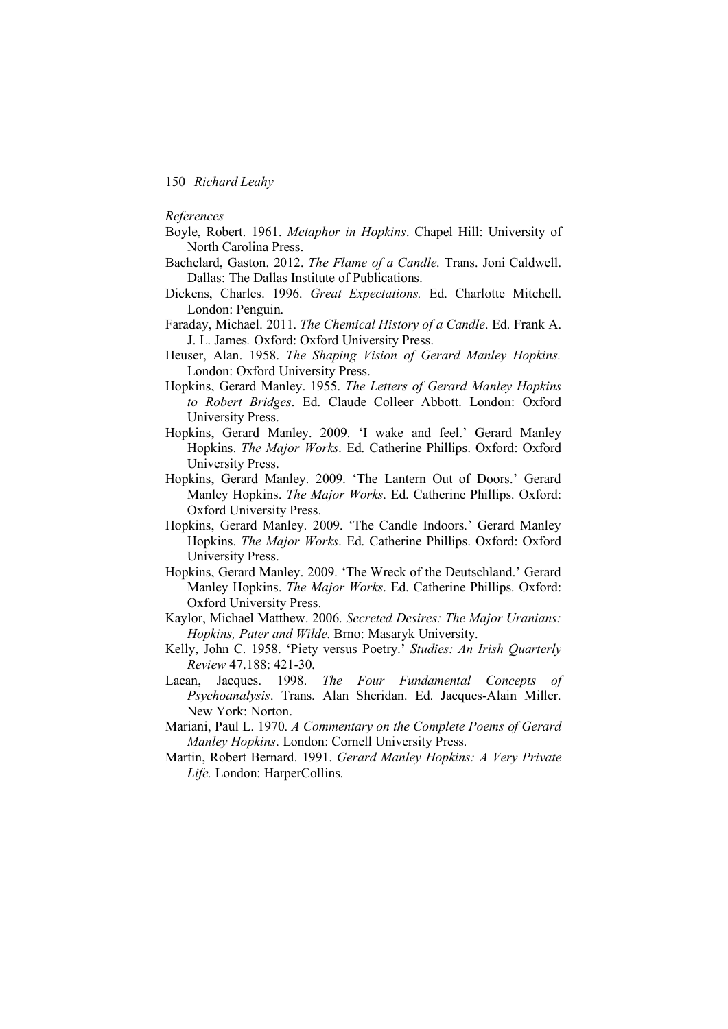*References*

- Boyle, Robert. 1961. *Metaphor in Hopkins*. Chapel Hill: University of North Carolina Press.
- Bachelard, Gaston. 2012. *The Flame of a Candle*. Trans. Joni Caldwell. Dallas: The Dallas Institute of Publications.
- Dickens, Charles. 1996. *Great Expectations.* Ed. Charlotte Mitchell. London: Penguin.
- Faraday, Michael. 2011. *The Chemical History of a Candle*. Ed. Frank A. J. L. James*.* Oxford: Oxford University Press.
- Heuser, Alan. 1958. *The Shaping Vision of Gerard Manley Hopkins.*  London: Oxford University Press.
- Hopkins, Gerard Manley. 1955. *The Letters of Gerard Manley Hopkins to Robert Bridges*. Ed. Claude Colleer Abbott. London: Oxford University Press.
- Hopkins, Gerard Manley. 2009. 'I wake and feel.' Gerard Manley Hopkins. *The Major Works*. Ed. Catherine Phillips. Oxford: Oxford University Press.
- Hopkins, Gerard Manley. 2009. 'The Lantern Out of Doors.' Gerard Manley Hopkins. *The Major Works*. Ed. Catherine Phillips. Oxford: Oxford University Press.
- Hopkins, Gerard Manley. 2009. 'The Candle Indoors.' Gerard Manley Hopkins. *The Major Works*. Ed. Catherine Phillips. Oxford: Oxford University Press.
- Hopkins, Gerard Manley. 2009. 'The Wreck of the Deutschland.' Gerard Manley Hopkins. *The Major Works*. Ed. Catherine Phillips. Oxford: Oxford University Press.
- Kaylor, Michael Matthew. 2006. *Secreted Desires: The Major Uranians: Hopkins, Pater and Wilde*. Brno: Masaryk University.
- Kelly, John C. 1958. 'Piety versus Poetry.' *Studies: An Irish Quarterly Review* 47.188: 421-30.
- Lacan, Jacques. 1998. *The Four Fundamental Concepts of Psychoanalysis*. Trans. Alan Sheridan. Ed. Jacques-Alain Miller. New York: Norton.
- Mariani, Paul L. 1970. *A Commentary on the Complete Poems of Gerard Manley Hopkins*. London: Cornell University Press.
- Martin, Robert Bernard. 1991. *Gerard Manley Hopkins: A Very Private Life.* London: HarperCollins.